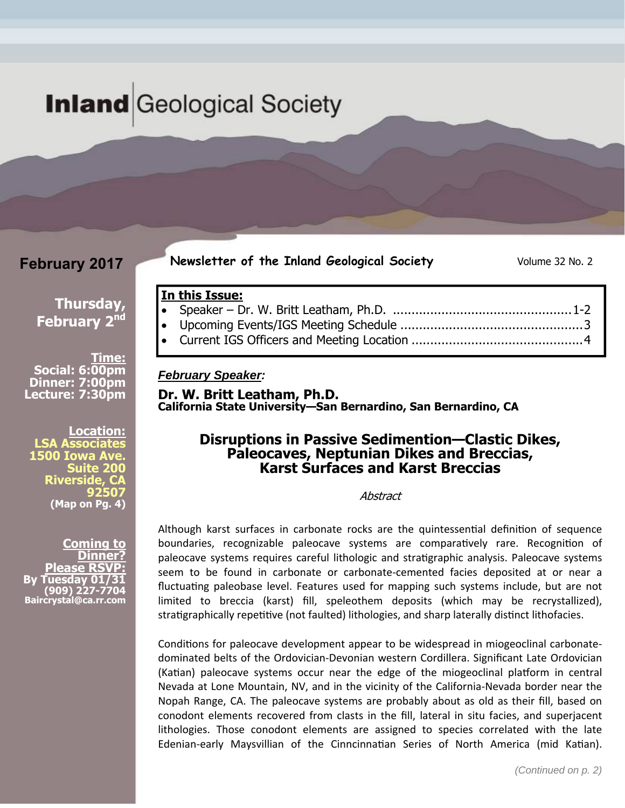# **Inland** Geological Society

## **February 2017**

**Newsletter of the Inland Geological Society** Volume 32 No. 2

### **Thursday, February 2nd**

**Time: Social: 6:00pm Dinner: 7:00pm Lecture: 7:30pm** 

**Location: LSA Associates 1500 Iowa Ave. Suite 200 Riverside, CA 92507 (Map on Pg. 4)** 

**Coming to Dinner? Please RSVP: Tuesday 01 (909) 227-7704 Baircrystal@ca.rr.com**

#### **In this Issue:**  Speaker – Dr. W. Britt Leatham, Ph.D. ................................................ 1-2 Upcoming Events/IGS Meeting Schedule ................................................. 3

Current IGS Officers and Meeting Location .............................................. 4

#### *February Speaker:*

**Dr. W. Britt Leatham, Ph.D. California State University—San Bernardino, San Bernardino, CA** 

### **Disruptions in Passive Sedimention—Clastic Dikes, Paleocaves, Neptunian Dikes and Breccias, Karst Surfaces and Karst Breccias**

**Abstract** 

Although karst surfaces in carbonate rocks are the quintessential definition of sequence boundaries, recognizable paleocave systems are comparatively rare. Recognition of paleocave systems requires careful lithologic and stratigraphic analysis. Paleocave systems seem to be found in carbonate or carbonate‐cemented facies deposited at or near a fluctuating paleobase level. Features used for mapping such systems include, but are not limited to breccia (karst) fill, speleothem deposits (which may be recrystallized), stratigraphically repetitive (not faulted) lithologies, and sharp laterally distinct lithofacies.

Conditions for paleocave development appear to be widespread in miogeoclinal carbonatedominated belts of the Ordovician‐Devonian western Cordillera. Significant Late Ordovician (Katian) paleocave systems occur near the edge of the miogeoclinal platform in central Nevada at Lone Mountain, NV, and in the vicinity of the California‐Nevada border near the Nopah Range, CA. The paleocave systems are probably about as old as their fill, based on conodont elements recovered from clasts in the fill, lateral in situ facies, and superjacent lithologies. Those conodont elements are assigned to species correlated with the late Edenian-early Maysvillian of the Cinncinnatian Series of North America (mid Katian).

Inland Geological Society February 2017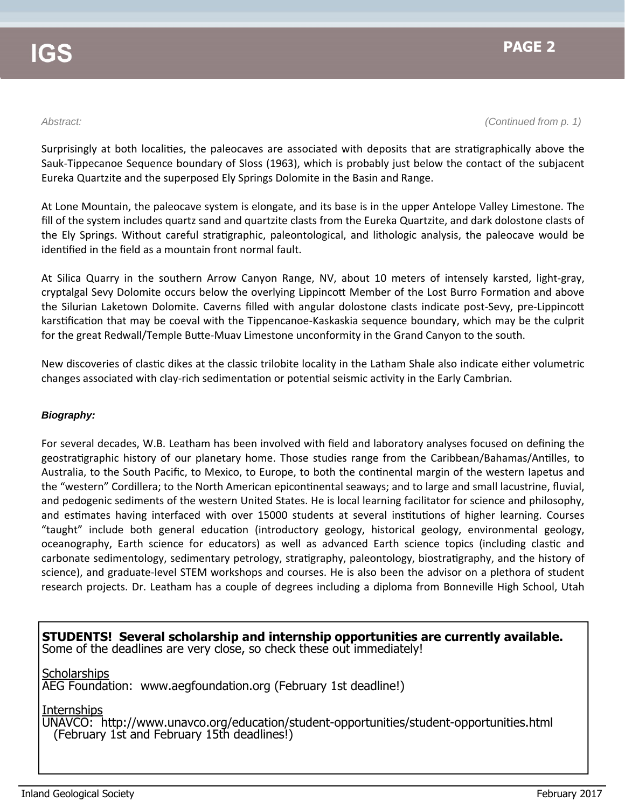*Abstract: (Continued from p. 1)* 

Surprisingly at both localities, the paleocaves are associated with deposits that are stratigraphically above the Sauk‐Tippecanoe Sequence boundary of Sloss (1963), which is probably just below the contact of the subjacent Eureka Quartzite and the superposed Ely Springs Dolomite in the Basin and Range.

At Lone Mountain, the paleocave system is elongate, and its base is in the upper Antelope Valley Limestone. The fill of the system includes quartz sand and quartzite clasts from the Eureka Quartzite, and dark dolostone clasts of the Ely Springs. Without careful stratigraphic, paleontological, and lithologic analysis, the paleocave would be identified in the field as a mountain front normal fault.

At Silica Quarry in the southern Arrow Canyon Range, NV, about 10 meters of intensely karsted, light‐gray, cryptalgal Sevy Dolomite occurs below the overlying Lippincott Member of the Lost Burro Formation and above the Silurian Laketown Dolomite. Caverns filled with angular dolostone clasts indicate post-Sevy, pre-Lippincott karstification that may be coeval with the Tippencanoe-Kaskaskia sequence boundary, which may be the culprit for the great Redwall/Temple Butte-Muav Limestone unconformity in the Grand Canyon to the south.

New discoveries of clastic dikes at the classic trilobite locality in the Latham Shale also indicate either volumetric changes associated with clay-rich sedimentation or potential seismic activity in the Early Cambrian.

#### *Biography:*

For several decades, W.B. Leatham has been involved with field and laboratory analyses focused on defining the geostratigraphic history of our planetary home. Those studies range from the Caribbean/Bahamas/Antilles, to Australia, to the South Pacific, to Mexico, to Europe, to both the continental margin of the western Iapetus and the "western" Cordillera; to the North American epicontinental seaways; and to large and small lacustrine, fluvial, and pedogenic sediments of the western United States. He is local learning facilitator for science and philosophy, and estimates having interfaced with over 15000 students at several institutions of higher learning. Courses "taught" include both general education (introductory geology, historical geology, environmental geology, oceanography, Earth science for educators) as well as advanced Earth science topics (including clastic and carbonate sedimentology, sedimentary petrology, stratigraphy, paleontology, biostratigraphy, and the history of science), and graduate‐level STEM workshops and courses. He is also been the advisor on a plethora of student research projects. Dr. Leatham has a couple of degrees including a diploma from Bonneville High School, Utah

**STUDENTS! Several scholarship and internship opportunities are currently available.**  Some of the deadlines are very close, so check these out immediately!

**Scholarships** 

AEG Foundation: www.aegfoundation.org (February 1st deadline!)

Internships

UNAVCO: http://www.unavco.org/education/student-opportunities/student-opportunities.html (February 1st and February 15th deadlines!)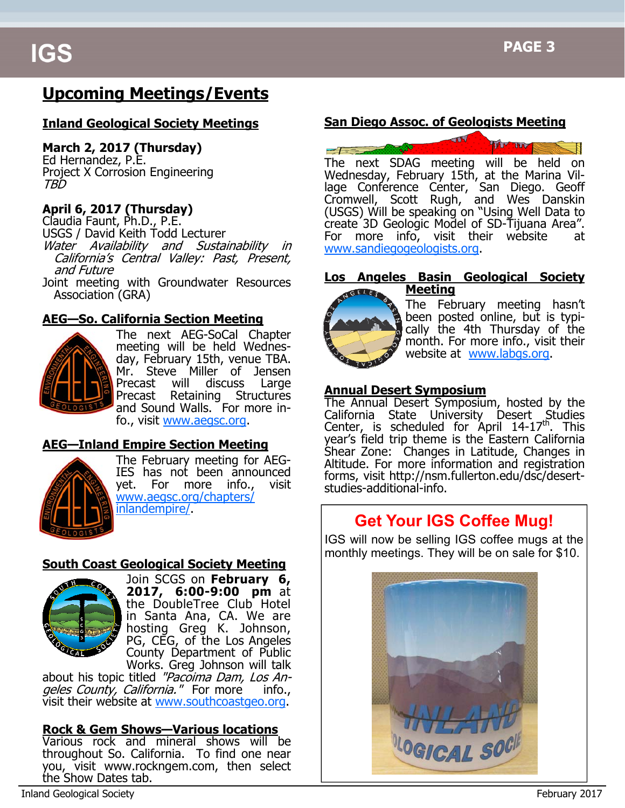# **Upcoming Meetings/Events**

### **Inland Geological Society Meetings**

#### **March 2, 2017 (Thursday)**

Ed Hernandez, P.E. Project X Corrosion Engineering TBD

### **April 6, 2017 (Thursday)**

Claudia Faunt, Ph.D., P.E. USGS / David Keith Todd Lecturer Water Availability and Sustainability in California's Central Valley: Past, Present,<br>and Future Joint meeting with Groundwater Resources

Association (GRA)

### **AEG—So. California Section Meeting**



The next AEG-SoCal Chapter meeting will be held Wednesday, February 15th, venue TBA. Mr. Steve Miller of Jensen Precast will discuss Large Precast Retaining Structures and Sound Walls. For more info., visit www.aegsc.org.

### **AEG—Inland Empire Section Meeting**



The February meeting for AEG-IES has not been announced yet. For more info., visit www.aegsc.org/chapters/ inlandempire/.

#### **South Coast Geological Society Meeting**



Join SCGS on **February 6, 2017, 6:00-9:00 pm** at the DoubleTree Club Hotel in Santa Ana, CA. We are hosting Greg K. Johnson, PG, CEG, of the Los Angeles County Department of Public Works. Greg Johnson will talk

about his topic titled "Pacoima Dam, Los Angeles County, California." For more info., visit their website at www.southcoastgeo.org.

### **Rock & Gem Shows—Various locations**

Various rock and mineral shows will be throughout So. California. To find one near you, visit www.rockngem.com, then select the Show Dates tab.

### **San Diego Assoc. of Geologists Meeting**



The next SDAG meeting will be held on Wednesday, February 15th, at the Marina Village Conference Center, San Diego. Geoff Cromwell, Scott Rugh, and Wes Danskin (USGS) Will be speaking on "Using Well Data to create 3D Geologic Model of SD-Tijuana Area". For more info, visit their website at www.sandiegogeologists.org.

#### **Los Angeles Basin Geological Society Meeting**



The February meeting hasn't been posted online, but is typically the 4th Thursday of the month. For more info., visit their website at www.labgs.org.

#### **Annual Desert Symposium**

The Annual Desert Symposium, hosted by the California State University Desert Studies Center, is scheduled for April  $14-17^{\text{th}}$ . This year's field trip theme is the Eastern California Shear Zone: Changes in Latitude, Changes in Altitude. For more information and registration forms, visit http://nsm.fullerton.edu/dsc/desertstudies-additional-info.

# **Get Your IGS Coffee Mug!**

IGS will now be selling IGS coffee mugs at the monthly meetings. They will be on sale for \$10.